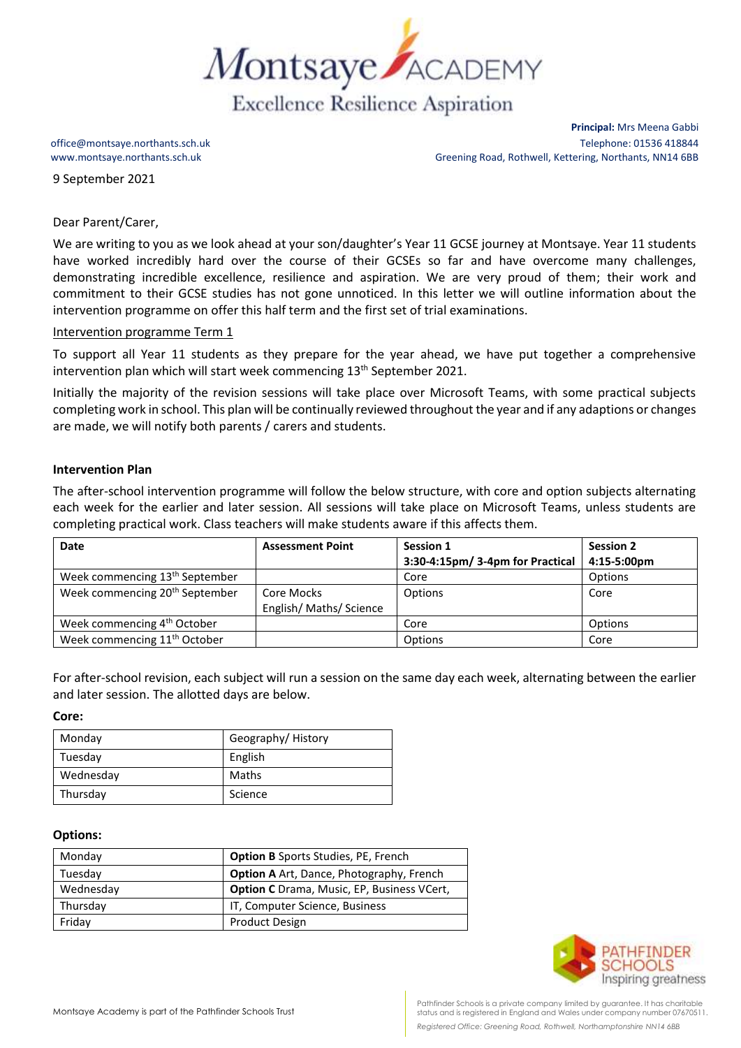

9 September 2021

**Principal:** Mrs Meena Gabbi office@montsaye.northants.sch.uk Telephone: 01536 418844 www.montsaye.northants.sch.uk Greening Road, Rothwell, Kettering, Northants, NN14 6BB

## Dear Parent/Carer,

We are writing to you as we look ahead at your son/daughter's Year 11 GCSE journey at Montsaye. Year 11 students have worked incredibly hard over the course of their GCSEs so far and have overcome many challenges, demonstrating incredible excellence, resilience and aspiration. We are very proud of them; their work and commitment to their GCSE studies has not gone unnoticed. In this letter we will outline information about the intervention programme on offer this half term and the first set of trial examinations.

## Intervention programme Term 1

To support all Year 11 students as they prepare for the year ahead, we have put together a comprehensive intervention plan which will start week commencing 13<sup>th</sup> September 2021.

Initially the majority of the revision sessions will take place over Microsoft Teams, with some practical subjects completing work in school. This plan will be continually reviewed throughout the year and if any adaptions or changes are made, we will notify both parents / carers and students.

# **Intervention Plan**

The after-school intervention programme will follow the below structure, with core and option subjects alternating each week for the earlier and later session. All sessions will take place on Microsoft Teams, unless students are completing practical work. Class teachers will make students aware if this affects them.

| Date                                       | <b>Assessment Point</b> | Session 1                        | <b>Session 2</b> |
|--------------------------------------------|-------------------------|----------------------------------|------------------|
|                                            |                         | 3:30-4:15pm/ 3-4pm for Practical | 4:15-5:00pm      |
| Week commencing 13 <sup>th</sup> September |                         | Core                             | Options          |
| Week commencing 20 <sup>th</sup> September | Core Mocks              | Options                          | Core             |
|                                            | English/ Maths/ Science |                                  |                  |
| Week commencing 4 <sup>th</sup> October    |                         | Core                             | Options          |
| Week commencing 11 <sup>th</sup> October   |                         | Options                          | Core             |

For after-school revision, each subject will run a session on the same day each week, alternating between the earlier and later session. The allotted days are below.

#### **Core:**

| Monday    | Geography/History |
|-----------|-------------------|
| Tuesday   | English           |
| Wednesday | Maths             |
| Thursday  | Science           |

### **Options:**

| Monday    | <b>Option B</b> Sports Studies, PE, French        |  |
|-----------|---------------------------------------------------|--|
| Tuesday   | <b>Option A</b> Art, Dance, Photography, French   |  |
| Wednesday | <b>Option C</b> Drama, Music, EP, Business VCert, |  |
| Thursday  | IT, Computer Science, Business                    |  |
| Friday    | <b>Product Design</b>                             |  |